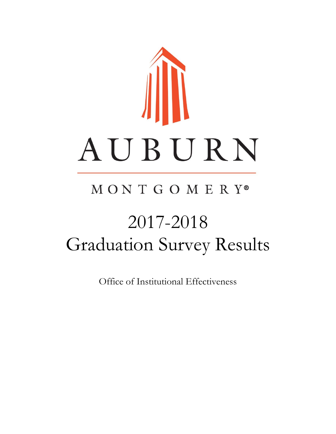

## MONTGOMERY®

# 2017-2018 Graduation Survey Results

Office of Institutional Effectiveness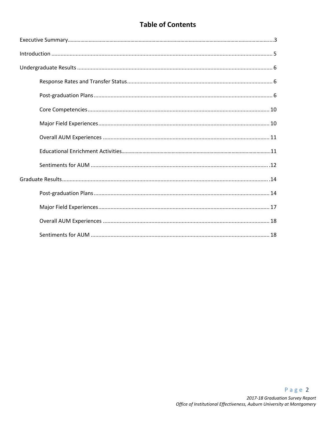#### **Table of Contents**

#### Page 2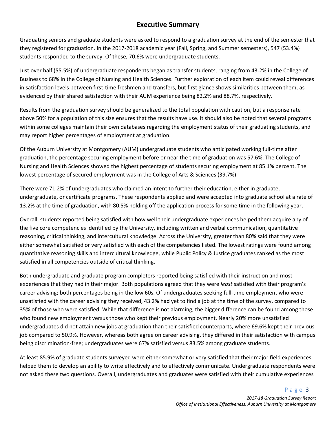#### **Executive Summary**

Graduating seniors and graduate students were asked to respond to a graduation survey at the end of the semester that they registered for graduation. In the 2017-2018 academic year (Fall, Spring, and Summer semesters), 547 (53.4%) students responded to the survey. Of these, 70.6% were undergraduate students.

Just over half (55.5%) of undergraduate respondents began as transfer students, ranging from 43.2% in the College of Business to 68% in the College of Nursing and Health Sciences. Further exploration of each item could reveal differences in satisfaction levels between first-time freshmen and transfers, but first glance shows similarities between them, as evidenced by their shared satisfaction with their AUM experience being 82.2% and 88.7%, respectively.

Results from the graduation survey should be generalized to the total population with caution, but a response rate above 50% for a population of this size ensures that the results have use. It should also be noted that several programs within some colleges maintain their own databases regarding the employment status of their graduating students, and may report higher percentages of employment at graduation.

Of the Auburn University at Montgomery (AUM) undergraduate students who anticipated working full-time after graduation, the percentage securing employment before or near the time of graduation was 57.6%. The College of Nursing and Health Sciences showed the highest percentage of students securing employment at 85.1% percent. The lowest percentage of secured employment was in the College of Arts & Sciences (39.7%).

There were 71.2% of undergraduates who claimed an intent to further their education, either in graduate, undergraduate, or certificate programs. These respondents applied and were accepted into graduate school at a rate of 13.2% at the time of graduation, with 80.5% holding off the application process for some time in the following year.

Overall, students reported being satisfied with how well their undergraduate experiences helped them acquire any of the five core competencies identified by the University, including written and verbal communication, quantitative reasoning, critical thinking, and intercultural knowledge. Across the University, greater than 80% said that they were either somewhat satisfied or very satisfied with each of the competencies listed. The lowest ratings were found among quantitative reasoning skills and intercultural knowledge, while Public Policy & Justice graduates ranked as the most satisfied in all competencies outside of critical thinking.

Both undergraduate and graduate program completers reported being satisfied with their instruction and most experiences that they had in their major. Both populations agreed that they were *least* satisfied with their program's career advising; both percentages being in the low 60s. Of undergraduates seeking full-time employment who were unsatisfied with the career advising they received, 43.2% had yet to find a job at the time of the survey, compared to 35% of those who were satisfied. While that difference is not alarming, the bigger difference can be found among those who found new employment versus those who kept their previous employment. Nearly 20% more unsatisfied undergraduates did not attain new jobs at graduation than their satisfied counterparts, where 69.6% kept their previous job compared to 50.9%. However, whereas both agree on career advising, they differed in their satisfaction with campus being discrimination-free; undergraduates were 67% satisfied versus 83.5% among graduate students.

At least 85.9% of graduate students surveyed were either somewhat or very satisfied that their major field experiences helped them to develop an ability to write effectively and to effectively communicate. Undergraduate respondents were not asked these two questions. Overall, undergraduates and graduates were satisfied with their cumulative experiences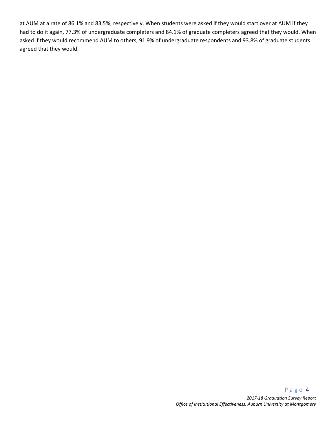at AUM at a rate of 86.1% and 83.5%, respectively. When students were asked if they would start over at AUM if they had to do it again, 77.3% of undergraduate completers and 84.1% of graduate completers agreed that they would. When asked if they would recommend AUM to others, 91.9% of undergraduate respondents and 93.8% of graduate students agreed that they would.

#### P a g e 4 *2017-18 Graduation Survey Report Office of Institutional Effectiveness, Auburn University at Montgomery*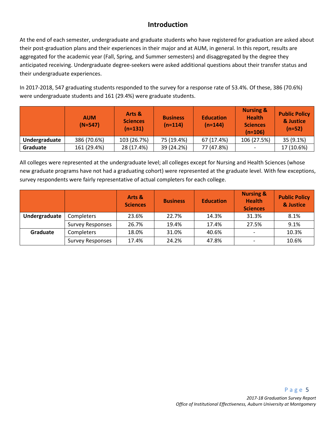#### **Introduction**

At the end of each semester, undergraduate and graduate students who have registered for graduation are asked about their post-graduation plans and their experiences in their major and at AUM, in general. In this report, results are aggregated for the academic year (Fall, Spring, and Summer semesters) and disaggregated by the degree they anticipated receiving. Undergraduate degree-seekers were asked additional questions about their transfer status and their undergraduate experiences.

In 2017-2018, 547 graduating students responded to the survey for a response rate of 53.4%. Of these, 386 (70.6%) were undergraduate students and 161 (29.4%) were graduate students.

|               | <b>AUM</b><br>$(N=547)$ | Arts &<br><b>Sciences</b><br>$(n=131)$ | <b>Business</b><br>$(n=114)$ | <b>Education</b><br>$(n=144)$ | <b>Nursing &amp;</b><br><b>Health</b><br><b>Sciences</b><br>$(n=106)$ | <b>Public Policy</b><br>& Justice<br>$(n=52)$ |
|---------------|-------------------------|----------------------------------------|------------------------------|-------------------------------|-----------------------------------------------------------------------|-----------------------------------------------|
| Undergraduate | 386 (70.6%)             | 103 (26.7%)                            | 75 (19.4%)                   | 67 (17.4%)                    | 106 (27.5%)                                                           | 35 (9.1%)                                     |
| Graduate      | 161 (29.4%)             | 28 (17.4%)                             | 39 (24.2%)                   | 77 (47.8%)                    | $\overline{\phantom{a}}$                                              | 17 (10.6%)                                    |

All colleges were represented at the undergraduate level; all colleges except for Nursing and Health Sciences (whose new graduate programs have not had a graduating cohort) were represented at the graduate level. With few exceptions, survey respondents were fairly representative of actual completers for each college.

|               |                         | Arts &<br><b>Sciences</b> | <b>Business</b> | <b>Education</b> | <b>Nursing &amp;</b><br><b>Health</b><br><b>Sciences</b> | <b>Public Policy</b><br>& Justice |
|---------------|-------------------------|---------------------------|-----------------|------------------|----------------------------------------------------------|-----------------------------------|
| Undergraduate | <b>Completers</b>       | 23.6%                     | 22.7%           | 14.3%            | 31.3%                                                    | 8.1%                              |
|               | <b>Survey Responses</b> | 26.7%                     | 19.4%           | 17.4%            | 27.5%                                                    | 9.1%                              |
| Graduate      | Completers              | 18.0%                     | 31.0%           | 40.6%            | $\overline{\phantom{a}}$                                 | 10.3%                             |
|               | <b>Survey Responses</b> | 17.4%                     | 24.2%           | 47.8%            |                                                          | 10.6%                             |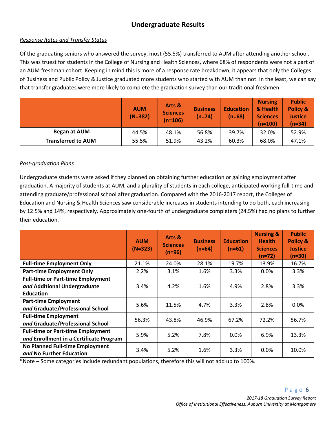## **Undergraduate Results**

#### *Response Rates and Transfer Status*

Of the graduating seniors who answered the survey, most (55.5%) transferred to AUM after attending another school. This was truest for students in the College of Nursing and Health Sciences, where 68% of respondents were not a part of an AUM freshman cohort. Keeping in mind this is more of a response rate breakdown, it appears that only the Colleges of Business and Public Policy & Justice graduated more students who started with AUM than not. In the least, we can say that transfer graduates were more likely to complete the graduation survey than our traditional freshmen.

|                           | <b>AUM</b><br>$(N=382)$ | Arts &<br><b>Sciences</b><br>$(n=106)$ | <b>Business</b><br>$(n=74)$ | <b>Education</b><br>$(n=68)$ | <b>Nursing</b><br>& Health<br><b>Sciences</b><br>$(n=100)$ | <b>Public</b><br>Policy &<br><b>Justice</b><br>$(n=34)$ |
|---------------------------|-------------------------|----------------------------------------|-----------------------------|------------------------------|------------------------------------------------------------|---------------------------------------------------------|
| Began at AUM              | 44.5%                   | 48.1%                                  | 56.8%                       | 39.7%                        | 32.0%                                                      | 52.9%                                                   |
| <b>Transferred to AUM</b> | 55.5%                   | 51.9%                                  | 43.2%                       | 60.3%                        | 68.0%                                                      | 47.1%                                                   |

#### *Post-graduation Plans*

Undergraduate students were asked if they planned on obtaining further education or gaining employment after graduation. A majority of students at AUM, and a plurality of students in each college, anticipated working full-time and attending graduate/professional school after graduation. Compared with the 2016-2017 report, the Colleges of Education and Nursing & Health Sciences saw considerable increases in students intending to do both, each increasing by 12.5% and 14%, respectively. Approximately one-fourth of undergraduate completers (24.5%) had no plans to further their education.

|                                                                                              | <b>AUM</b><br>$(N=323)$ | Arts &<br><b>Sciences</b><br>(n=96) | <b>Business</b><br>$(n=64)$ | <b>Education</b><br>$(n=61)$ | <b>Nursing &amp;</b><br><b>Health</b><br><b>Sciences</b><br>$(n=72)$ | <b>Public</b><br><b>Policy &amp;</b><br><b>Justice</b><br>$(n=30)$ |
|----------------------------------------------------------------------------------------------|-------------------------|-------------------------------------|-----------------------------|------------------------------|----------------------------------------------------------------------|--------------------------------------------------------------------|
| <b>Full-time Employment Only</b>                                                             | 21.1%                   | 24.0%                               | 28.1%                       | 19.7%                        | 13.9%                                                                | 16.7%                                                              |
| <b>Part-time Employment Only</b>                                                             | 2.2%                    | 3.1%                                | 1.6%                        | 3.3%                         | $0.0\%$                                                              | 3.3%                                                               |
| <b>Full-time or Part-time Employment</b><br>and Additional Undergraduate<br><b>Education</b> | 3.4%                    | 4.2%                                | 1.6%                        | 4.9%                         | 2.8%                                                                 | 3.3%                                                               |
| <b>Part-time Employment</b><br>and Graduate/Professional School                              | 5.6%                    | 11.5%                               | 4.7%                        | 3.3%                         | 2.8%                                                                 | 0.0%                                                               |
| <b>Full-time Employment</b><br>and Graduate/Professional School                              | 56.3%                   | 43.8%                               | 46.9%                       | 67.2%                        | 72.2%                                                                | 56.7%                                                              |
| <b>Full-time or Part-time Employment</b><br>and Enrollment in a Certificate Program          | 5.9%                    | 5.2%                                | 7.8%                        | 0.0%                         | 6.9%                                                                 | 13.3%                                                              |
| <b>No Planned Full-time Employment</b><br>and No Further Education                           | 3.4%                    | 5.2%                                | 1.6%                        | 3.3%                         | 0.0%                                                                 | 10.0%                                                              |

\*Note – Some categories include redundant populations, therefore this will not add up to 100%.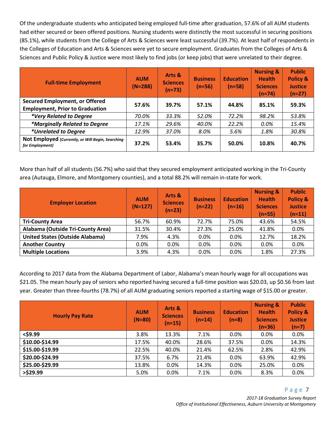Of the undergraduate students who anticipated being employed full-time after graduation, 57.6% of all AUM students had either secured or been offered positions. Nursing students were distinctly the most successful in securing positions (85.1%), while students from the College of Arts & Sciences were least successful (39.7%). At least half of respondents in the Colleges of Education and Arts & Sciences were yet to secure employment. Graduates from the Colleges of Arts & Sciences and Public Policy & Justice were most likely to find jobs (or keep jobs) that were unrelated to their degree.

| <b>Full-time Employment</b>                                                     | <b>AUM</b><br>$(N=288)$ | Arts &<br><b>Sciences</b><br>$(n=73)$ | <b>Business</b><br>$(n=56)$ | <b>Education</b><br>$(n=58)$ | <b>Nursing &amp;</b><br><b>Health</b><br><b>Sciences</b><br>$(n=74)$ | <b>Public</b><br><b>Policy &amp;</b><br><b>Justice</b><br>$(n=27)$ |
|---------------------------------------------------------------------------------|-------------------------|---------------------------------------|-----------------------------|------------------------------|----------------------------------------------------------------------|--------------------------------------------------------------------|
| <b>Secured Employment, or Offered</b><br><b>Employment, Prior to Graduation</b> | 57.6%                   | 39.7%                                 | 57.1%                       | 44.8%                        | 85.1%                                                                | 59.3%                                                              |
| *Very Related to Degree                                                         | 70.0%                   | 33.3%                                 | 52.0%                       | 72.2%                        | 98.2%                                                                | 53.8%                                                              |
| *Marginally Related to Degree                                                   | 17.1%                   | 29.6%                                 | 40.0%                       | 22.2%                        | 0.0%                                                                 | 15.4%                                                              |
| *Unrelated to Degree                                                            | 12.9%                   | 37.0%                                 | 8.0%                        | 5.6%                         | 1.8%                                                                 | 30.8%                                                              |
| Not Employed (Currently, or Will Begin, Searching<br>for Employment)            | 37.2%                   | 53.4%                                 | 35.7%                       | 50.0%                        | 10.8%                                                                | 40.7%                                                              |

More than half of all students (56.7%) who said that they secured employment anticipated working in the Tri-County area (Autauga, Elmore, and Montgomery counties), and a total 88.2% will remain in-state for work.

| <b>Employer Location</b>               | <b>AUM</b><br>$(N=127)$ | Arts &<br><b>Sciences</b><br>$(n=23)$ | <b>Business</b><br>$(n=22)$ | <b>Education</b><br>$(n=16)$ | <b>Nursing &amp;</b><br><b>Health</b><br><b>Sciences</b><br>$(n=55)$ | <b>Public</b><br>Policy &<br><b>Justice</b><br>$(n=11)$ |
|----------------------------------------|-------------------------|---------------------------------------|-----------------------------|------------------------------|----------------------------------------------------------------------|---------------------------------------------------------|
| <b>Tri-County Area</b>                 | 56.7%                   | 60.9%                                 | 72.7%                       | 75.0%                        | 43.6%                                                                | 54.5%                                                   |
| Alabama (Outside Tri-County Area)      | 31.5%                   | 30.4%                                 | 27.3%                       | 25.0%                        | 41.8%                                                                | 0.0%                                                    |
| <b>United States (Outside Alabama)</b> | 7.9%                    | 4.3%                                  | $0.0\%$                     | 0.0%                         | 12.7%                                                                | 18.2%                                                   |
| <b>Another Country</b>                 | 0.0%                    | 0.0%                                  | 0.0%                        | 0.0%                         | 0.0%                                                                 | 0.0%                                                    |
| <b>Multiple Locations</b>              | 3.9%                    | 4.3%                                  | 0.0%                        | 0.0%                         | 1.8%                                                                 | 27.3%                                                   |

According to 2017 data from the Alabama Department of Labor, Alabama's mean hourly wage for all occupations was \$21.05. The mean hourly pay of seniors who reported having secured a full-time position was \$20.03, up \$0.56 from last year. Greater than three-fourths (78.7%) of all AUM graduating seniors reported a starting wage of \$15.00 or greater.

| <b>Hourly Pay Rate</b> | <b>AUM</b><br>$(N=80)$ | Arts &<br><b>Sciences</b><br>$(n=15)$ | <b>Business</b><br>$(n=14)$ | <b>Education</b><br>$(n=8)$ | <b>Nursing &amp;</b><br><b>Health</b><br><b>Sciences</b><br>$(n=36)$ | <b>Public</b><br><b>Policy &amp;</b><br><b>Justice</b><br>$(n=7)$ |
|------------------------|------------------------|---------------------------------------|-----------------------------|-----------------------------|----------------------------------------------------------------------|-------------------------------------------------------------------|
| $<$ \$9.99             | 3.8%                   | 13.3%                                 | 7.1%                        | $0.0\%$                     | $0.0\%$                                                              | 0.0%                                                              |
| \$10.00-\$14.99        | 17.5%                  | 40.0%                                 | 28.6%                       | 37.5%                       | 0.0%                                                                 | 14.3%                                                             |
| \$15.00-\$19.99        | 22.5%                  | 40.0%                                 | 21.4%                       | 62.5%                       | 2.8%                                                                 | 42.9%                                                             |
| \$20.00-\$24.99        | 37.5%                  | 6.7%                                  | 21.4%                       | 0.0%                        | 63.9%                                                                | 42.9%                                                             |
| \$25.00-\$29.99        | 13.8%                  | 0.0%                                  | 14.3%                       | 0.0%                        | 25.0%                                                                | 0.0%                                                              |
| $>$ \$29.99            | 5.0%                   | 0.0%                                  | 7.1%                        | 0.0%                        | 8.3%                                                                 | 0.0%                                                              |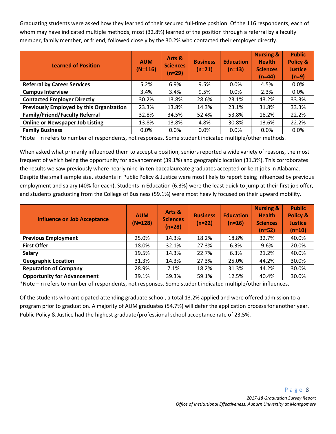Graduating students were asked how they learned of their secured full-time position. Of the 116 respondents, each of whom may have indicated multiple methods, most (32.8%) learned of the position through a referral by a faculty member, family member, or friend, followed closely by the 30.2% who contacted their employer directly.

| <b>Learned of Position</b>               | <b>AUM</b><br>$(N=116)$ | Arts &<br><b>Sciences</b><br>$(n=29)$ | <b>Business</b><br>$(n=21)$ | <b>Education</b><br>$(n=13)$ | <b>Nursing &amp;</b><br><b>Health</b><br><b>Sciences</b><br>$(n=44)$ | <b>Public</b><br><b>Policy &amp;</b><br><b>Justice</b><br>$(n=9)$ |
|------------------------------------------|-------------------------|---------------------------------------|-----------------------------|------------------------------|----------------------------------------------------------------------|-------------------------------------------------------------------|
| <b>Referral by Career Services</b>       | 5.2%                    | 6.9%                                  | 9.5%                        | 0.0%                         | 4.5%                                                                 | $0.0\%$                                                           |
| <b>Campus Interview</b>                  | 3.4%                    | 3.4%                                  | 9.5%                        | 0.0%                         | 2.3%                                                                 | $0.0\%$                                                           |
| <b>Contacted Employer Directly</b>       | 30.2%                   | 13.8%                                 | 28.6%                       | 23.1%                        | 43.2%                                                                | 33.3%                                                             |
| Previously Employed by this Organization | 23.3%                   | 13.8%                                 | 14.3%                       | 23.1%                        | 31.8%                                                                | 33.3%                                                             |
| <b>Family/Friend/Faculty Referral</b>    | 32.8%                   | 34.5%                                 | 52.4%                       | 53.8%                        | 18.2%                                                                | 22.2%                                                             |
| <b>Online or Newspaper Job Listing</b>   | 13.8%                   | 13.8%                                 | 4.8%                        | 30.8%                        | 13.6%                                                                | 22.2%                                                             |
| <b>Family Business</b>                   | 0.0%                    | $0.0\%$                               | $0.0\%$                     | 0.0%                         | 0.0%                                                                 | $0.0\%$                                                           |

\*Note – n refers to number of respondents, not responses. Some student indicated multiple/other methods.

When asked what primarily influenced them to accept a position, seniors reported a wide variety of reasons, the most frequent of which being the opportunity for advancement (39.1%) and geographic location (31.3%). This corroborates the results we saw previously where nearly nine-in-ten baccalaureate graduates accepted or kept jobs in Alabama. Despite the small sample size, students in Public Policy & Justice were most likely to report being influenced by previous employment and salary (40% for each). Students in Education (6.3%) were the least quick to jump at their first job offer, and students graduating from the College of Business (59.1%) were most heavily focused on their upward mobility.

| <b>Influence on Job Acceptance</b> | <b>AUM</b><br>$(N=128)$ | Arts &<br><b>Sciences</b><br>$(n=28)$ | <b>Business</b><br>$(n=22)$ | <b>Education</b><br>$(n=16)$ | <b>Nursing &amp;</b><br><b>Health</b><br><b>Sciences</b><br>$(n=52)$ | <b>Public</b><br><b>Policy &amp;</b><br><b>Justice</b><br>$(n=10)$ |
|------------------------------------|-------------------------|---------------------------------------|-----------------------------|------------------------------|----------------------------------------------------------------------|--------------------------------------------------------------------|
| <b>Previous Employment</b>         | 25.0%                   | 14.3%                                 | 18.2%                       | 18.8%                        | 32.7%                                                                | 40.0%                                                              |
| <b>First Offer</b>                 | 18.0%                   | 32.1%                                 | 27.3%                       | 6.3%                         | 9.6%                                                                 | 20.0%                                                              |
| <b>Salary</b>                      | 19.5%                   | 14.3%                                 | 22.7%                       | 6.3%                         | 21.2%                                                                | 40.0%                                                              |
| <b>Geographic Location</b>         | 31.3%                   | 14.3%                                 | 27.3%                       | 25.0%                        | 44.2%                                                                | 30.0%                                                              |
| <b>Reputation of Company</b>       | 28.9%                   | 7.1%                                  | 18.2%                       | 31.3%                        | 44.2%                                                                | 30.0%                                                              |
| <b>Opportunity for Advancement</b> | 39.1%                   | 39.3%                                 | 59.1%                       | 12.5%                        | 40.4%                                                                | 30.0%                                                              |

\*Note – n refers to number of respondents, not responses. Some student indicated multiple/other influences.

Of the students who anticipated attending graduate school, a total 13.2% applied and were offered admission to a program prior to graduation. A majority of AUM graduates (54.7%) will defer the application process for another year. Public Policy & Justice had the highest graduate/professional school acceptance rate of 23.5%.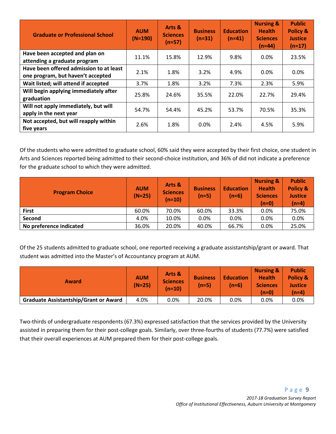| <b>Graduate or Professional School</b>                                       | <b>AUM</b><br>$(N=190)$ | Arts &<br><b>Sciences</b><br>$(n=57)$ | <b>Business</b><br>$(n=31)$ | <b>Education</b><br>$(n=41)$ | <b>Nursing &amp;</b><br><b>Health</b><br><b>Sciences</b><br>$(n=44)$ | <b>Public</b><br><b>Policy &amp;</b><br><b>Justice</b><br>$(n=17)$ |
|------------------------------------------------------------------------------|-------------------------|---------------------------------------|-----------------------------|------------------------------|----------------------------------------------------------------------|--------------------------------------------------------------------|
| Have been accepted and plan on<br>attending a graduate program               | 11.1%                   | 15.8%                                 | 12.9%                       | 9.8%                         | $0.0\%$                                                              | 23.5%                                                              |
| Have been offered admission to at least<br>one program, but haven't accepted | 2.1%                    | 1.8%                                  | 3.2%                        | 4.9%                         | $0.0\%$                                                              | 0.0%                                                               |
| Wait listed; will attend if accepted                                         | 3.7%                    | 1.8%                                  | 3.2%                        | 7.3%                         | 2.3%                                                                 | 5.9%                                                               |
| Will begin applying immediately after<br>graduation                          | 25.8%                   | 24.6%                                 | 35.5%                       | 22.0%                        | 22.7%                                                                | 29.4%                                                              |
| Will not apply immediately, but will<br>apply in the next year               | 54.7%                   | 54.4%                                 | 45.2%                       | 53.7%                        | 70.5%                                                                | 35.3%                                                              |
| Not accepted, but will reapply within<br>five years                          | 2.6%                    | 1.8%                                  | 0.0%                        | 2.4%                         | 4.5%                                                                 | 5.9%                                                               |

Of the students who were admitted to graduate school, 60% said they were accepted by their first choice, one student in Arts and Sciences reported being admitted to their second-choice institution, and 36% of did not indicate a preference for the graduate school to which they were admitted.

| <b>Program Choice</b>   | <b>AUM</b><br>$(N=25)$ | Arts &<br><b>Sciences</b><br>$(n=10)$ | <b>Business</b><br>$(n=5)$ | <b>Education</b><br>$(n=6)$ | <b>Nursing &amp;</b><br><b>Health</b><br><b>Sciences</b><br>$(n=0)$ | <b>Public</b><br>Policy &<br><b>Justice</b><br>$(n=4)$ |
|-------------------------|------------------------|---------------------------------------|----------------------------|-----------------------------|---------------------------------------------------------------------|--------------------------------------------------------|
| <b>First</b>            | 60.0%                  | 70.0%                                 | 60.0%                      | 33.3%                       | 0.0%                                                                | 75.0%                                                  |
| Second                  | 4.0%                   | 10.0%                                 | 0.0%                       | $0.0\%$                     | 0.0%                                                                | 0.0%                                                   |
| No preference indicated | 36.0%                  | 20.0%                                 | 40.0%                      | 66.7%                       | 0.0%                                                                | 25.0%                                                  |

Of the 25 students admitted to graduate school, one reported receiving a graduate assistantship/grant or award. That student was admitted into the Master's of Accountancy program at AUM.

| Award                                        | <b>AUM</b><br>$(N=25)$ | Arts &<br><b>Sciences</b><br>$(n=10)$ | <b>Business</b><br>$(n=5)$ | <b>Education</b><br>$(n=6)$ | <b>Nursing &amp;</b><br><b>Health</b><br><b>Sciences</b><br>$(n=0)$ | <b>Public</b><br>Policy &<br><b>Justice</b><br>(n=4) |
|----------------------------------------------|------------------------|---------------------------------------|----------------------------|-----------------------------|---------------------------------------------------------------------|------------------------------------------------------|
| <b>Graduate Assistantship/Grant or Award</b> | 4.0%                   | $0.0\%$                               | 20.0%                      | 0.0%                        | 0.0%                                                                | 0.0%                                                 |

Two-thirds of undergraduate respondents (67.3%) expressed satisfaction that the services provided by the University assisted in preparing them for their post-college goals. Similarly, over three-fourths of students (77.7%) were satisfied that their overall experiences at AUM prepared them for their post-college goals.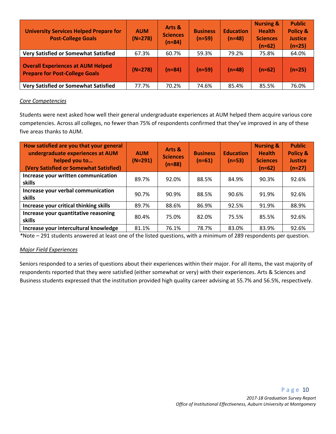| <b>University Services Helped Prepare for</b><br><b>Post-College Goals</b>        | <b>AUM</b><br>$(N=278)$ | Arts &<br><b>Sciences</b><br>$(n=84)$ | <b>Business</b><br>$(n=59)$ | <b>Education</b><br>$(n=48)$ | <b>Nursing &amp;</b><br><b>Health</b><br><b>Sciences</b><br>$(n=62)$ | <b>Public</b><br><b>Policy &amp;</b><br><b>Justice</b><br>$(n=25)$ |
|-----------------------------------------------------------------------------------|-------------------------|---------------------------------------|-----------------------------|------------------------------|----------------------------------------------------------------------|--------------------------------------------------------------------|
| <b>Very Satisfied or Somewhat Satisfied</b>                                       | 67.3%                   | 60.7%                                 | 59.3%                       | 79.2%                        | 75.8%                                                                | 64.0%                                                              |
| <b>Overall Experiences at AUM Helped</b><br><b>Prepare for Post-College Goals</b> | $(N=278)$               | $(n=84)$                              | $(n=59)$                    | $(n=48)$                     | $(n=62)$                                                             | $(n=25)$                                                           |
| <b>Very Satisfied or Somewhat Satisfied</b>                                       | 77.7%                   | 70.2%                                 | 74.6%                       | 85.4%                        | 85.5%                                                                | 76.0%                                                              |

#### *Core Competencies*

Students were next asked how well their general undergraduate experiences at AUM helped them acquire various core competencies. Across all colleges, no fewer than 75% of respondents confirmed that they've improved in any of these five areas thanks to AUM.

| How satisfied are you that your general<br>undergraduate experiences at AUM<br>helped you to<br>(Very Satisfied or Somewhat Satisfied) | <b>AUM</b><br>$(N=291)$ | Arts &<br><b>Sciences</b><br>$(n=88)$ | <b>Business</b><br>$(n=61)$ | <b>Education</b><br>$(n=53)$ | <b>Nursing &amp;</b><br><b>Health</b><br><b>Sciences</b><br>$(n=62)$ | <b>Public</b><br><b>Policy &amp;</b><br><b>Justice</b><br>$(n=27)$ |
|----------------------------------------------------------------------------------------------------------------------------------------|-------------------------|---------------------------------------|-----------------------------|------------------------------|----------------------------------------------------------------------|--------------------------------------------------------------------|
| Increase your written communication<br>skills                                                                                          | 89.7%                   | 92.0%                                 | 88.5%                       | 84.9%                        | 90.3%                                                                | 92.6%                                                              |
| Increase your verbal communication<br>skills                                                                                           | 90.7%                   | 90.9%                                 | 88.5%                       | 90.6%                        | 91.9%                                                                | 92.6%                                                              |
| Increase your critical thinking skills                                                                                                 | 89.7%                   | 88.6%                                 | 86.9%                       | 92.5%                        | 91.9%                                                                | 88.9%                                                              |
| Increase your quantitative reasoning<br>skills                                                                                         | 80.4%                   | 75.0%                                 | 82.0%                       | 75.5%                        | 85.5%                                                                | 92.6%                                                              |
| Increase your intercultural knowledge                                                                                                  | 81.1%                   | 76.1%                                 | 78.7%                       | 83.0%                        | 83.9%                                                                | 92.6%                                                              |

*\**Note – 291 students answered at least one of the listed questions, with a minimum of 289 respondents per question.

#### *Major Field Experiences*

Seniors responded to a series of questions about their experiences within their major. For all items, the vast majority of respondents reported that they were satisfied (either somewhat or very) with their experiences. Arts & Sciences and Business students expressed that the institution provided high quality career advising at 55.7% and 56.5%, respectively.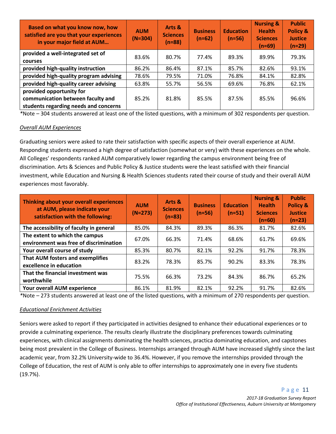| Based on what you know now, how<br>satisfied are you that your experiences<br>in your major field at AUM | <b>AUM</b><br>$(N=304)$ | Arts &<br><b>Sciences</b><br>$(n=88)$ | <b>Business</b><br>$(n=62)$ | <b>Education</b><br>$(n=56)$ | <b>Nursing &amp;</b><br><b>Health</b><br><b>Sciences</b><br>$(n=69)$ | <b>Public</b><br><b>Policy &amp;</b><br><b>Justice</b><br>$(n=29)$ |
|----------------------------------------------------------------------------------------------------------|-------------------------|---------------------------------------|-----------------------------|------------------------------|----------------------------------------------------------------------|--------------------------------------------------------------------|
| provided a well-integrated set of<br>courses                                                             | 83.6%                   | 80.7%                                 | 77.4%                       | 89.3%                        | 89.9%                                                                | 79.3%                                                              |
| provided high-quality instruction                                                                        | 86.2%                   | 86.4%                                 | 87.1%                       | 85.7%                        | 82.6%                                                                | 93.1%                                                              |
| provided high-quality program advising                                                                   | 78.6%                   | 79.5%                                 | 71.0%                       | 76.8%                        | 84.1%                                                                | 82.8%                                                              |
| provided high-quality career advising                                                                    | 63.8%                   | 55.7%                                 | 56.5%                       | 69.6%                        | 76.8%                                                                | 62.1%                                                              |
| provided opportunity for<br>communication between faculty and<br>students regarding needs and concerns   | 85.2%                   | 81.8%                                 | 85.5%                       | 87.5%                        | 85.5%                                                                | 96.6%                                                              |

*\**Note – 304 students answered at least one of the listed questions, with a minimum of 302 respondents per question.

#### *Overall AUM Experiences*

Graduating seniors were asked to rate their satisfaction with specific aspects of their overall experience at AUM. Responding students expressed a high degree of satisfaction (somewhat or very) with these experiences on the whole. All Colleges' respondents ranked AUM comparatively lower regarding the campus environment being free of discrimination. Arts & Sciences and Public Policy & Justice students were the least satisfied with their financial investment, while Education and Nursing & Health Sciences students rated their course of study and their overall AUM experiences most favorably.

| Thinking about your overall experiences<br>at AUM, please indicate your<br>satisfaction with the following: | <b>AUM</b><br>$(N=273)$ | Arts &<br><b>Sciences</b><br>$(n=83)$ | <b>Business</b><br>$(n=56)$ | <b>Education</b><br>$(n=51)$ | <b>Nursing &amp;</b><br><b>Health</b><br><b>Sciences</b><br>$(n=60)$ | <b>Public</b><br><b>Policy &amp;</b><br><b>Justice</b><br>$(n=23)$ |
|-------------------------------------------------------------------------------------------------------------|-------------------------|---------------------------------------|-----------------------------|------------------------------|----------------------------------------------------------------------|--------------------------------------------------------------------|
| The accessibility of faculty in general                                                                     | 85.0%                   | 84.3%                                 | 89.3%                       | 86.3%                        | 81.7%                                                                | 82.6%                                                              |
| The extent to which the campus<br>environment was free of discrimination                                    | 67.0%                   | 66.3%                                 | 71.4%                       | 68.6%                        | 61.7%                                                                | 69.6%                                                              |
| Your overall course of study                                                                                | 85.3%                   | 80.7%                                 | 82.1%                       | 92.2%                        | 91.7%                                                                | 78.3%                                                              |
| That AUM fosters and exemplifies<br>excellence in education                                                 | 83.2%                   | 78.3%                                 | 85.7%                       | 90.2%                        | 83.3%                                                                | 78.3%                                                              |
| That the financial investment was<br>worthwhile                                                             | 75.5%                   | 66.3%                                 | 73.2%                       | 84.3%                        | 86.7%                                                                | 65.2%                                                              |
| Your overall AUM experience                                                                                 | 86.1%                   | 81.9%                                 | 82.1%                       | 92.2%                        | 91.7%                                                                | 82.6%                                                              |

*\**Note – 273 students answered at least one of the listed questions, with a minimum of 270 respondents per question.

#### *Educational Enrichment Activities*

Seniors were asked to report if they participated in activities designed to enhance their educational experiences or to provide a culminating experience. The results clearly illustrate the disciplinary preferences towards culminating experiences, with clinical assignments dominating the health sciences, practica dominating education, and capstones being most prevalent in the College of Business. Internships arranged through AUM have increased slightly since the last academic year, from 32.2% University-wide to 36.4%. However, if you remove the internships provided through the College of Education, the rest of AUM is only able to offer internships to approximately one in every five students (19.7%).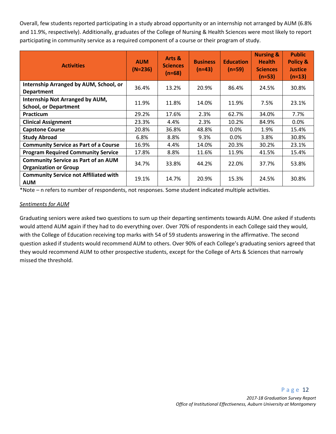Overall, few students reported participating in a study abroad opportunity or an internship not arranged by AUM (6.8% and 11.9%, respectively). Additionally, graduates of the College of Nursing & Health Sciences were most likely to report participating in community service as a required component of a course or their program of study.

| <b>Activities</b>                                                          | <b>AUM</b><br>$(N=236)$ | Arts &<br><b>Sciences</b><br>$(n=68)$ | <b>Business</b><br>$(n=43)$ | <b>Education</b><br>$(n=59)$ | <b>Nursing &amp;</b><br><b>Health</b><br><b>Sciences</b><br>$(n=53)$ | <b>Public</b><br>Policy &<br><b>Justice</b><br>$(n=13)$ |
|----------------------------------------------------------------------------|-------------------------|---------------------------------------|-----------------------------|------------------------------|----------------------------------------------------------------------|---------------------------------------------------------|
| Internship Arranged by AUM, School, or<br><b>Department</b>                | 36.4%                   | 13.2%                                 | 20.9%                       | 86.4%                        | 24.5%                                                                | 30.8%                                                   |
| Internship Not Arranged by AUM,<br><b>School, or Department</b>            | 11.9%                   | 11.8%                                 | 14.0%                       | 11.9%                        | 7.5%                                                                 | 23.1%                                                   |
| <b>Practicum</b>                                                           | 29.2%                   | 17.6%                                 | 2.3%                        | 62.7%                        | 34.0%                                                                | 7.7%                                                    |
| <b>Clinical Assignment</b>                                                 | 23.3%                   | 4.4%                                  | 2.3%                        | 10.2%                        | 84.9%                                                                | $0.0\%$                                                 |
| <b>Capstone Course</b>                                                     | 20.8%                   | 36.8%                                 | 48.8%                       | $0.0\%$                      | 1.9%                                                                 | 15.4%                                                   |
| <b>Study Abroad</b>                                                        | 6.8%                    | 8.8%                                  | 9.3%                        | $0.0\%$                      | 3.8%                                                                 | 30.8%                                                   |
| <b>Community Service as Part of a Course</b>                               | 16.9%                   | 4.4%                                  | 14.0%                       | 20.3%                        | 30.2%                                                                | 23.1%                                                   |
| <b>Program Required Community Service</b>                                  | 17.8%                   | 8.8%                                  | 11.6%                       | 11.9%                        | 41.5%                                                                | 15.4%                                                   |
| <b>Community Service as Part of an AUM</b><br><b>Organization or Group</b> | 34.7%                   | 33.8%                                 | 44.2%                       | 22.0%                        | 37.7%                                                                | 53.8%                                                   |
| <b>Community Service not Affiliated with</b><br><b>AUM</b>                 | 19.1%                   | 14.7%                                 | 20.9%                       | 15.3%                        | 24.5%                                                                | 30.8%                                                   |

\*Note – n refers to number of respondents, not responses. Some student indicated multiple activities.

#### *Sentiments for AUM*

Graduating seniors were asked two questions to sum up their departing sentiments towards AUM. One asked if students would attend AUM again if they had to do everything over. Over 70% of respondents in each College said they would, with the College of Education receiving top marks with 54 of 59 students answering in the affirmative. The second question asked if students would recommend AUM to others. Over 90% of each College's graduating seniors agreed that they would recommend AUM to other prospective students, except for the College of Arts & Sciences that narrowly missed the threshold.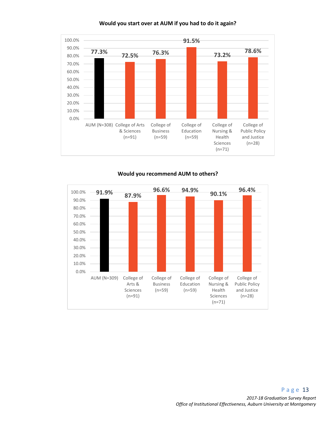

#### **Would you start over at AUM if you had to do it again?**

**Would you recommend AUM to others?** 

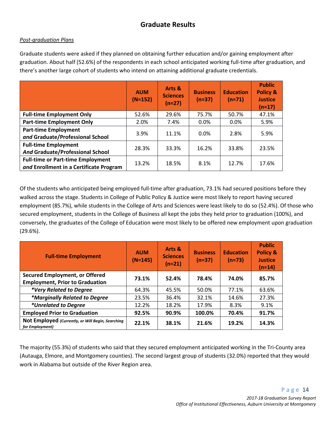### **Graduate Results**

#### *Post-graduation Plans*

Graduate students were asked if they planned on obtaining further education and/or gaining employment after graduation. About half (52.6%) of the respondents in each school anticipated working full-time after graduation, and there's another large cohort of students who intend on attaining additional graduate credentials.

|                                                                                     | <b>AUM</b><br>$(N=152)$ | Arts &<br><b>Sciences</b><br>$(n=27)$ | <b>Business</b><br>$(n=37)$ | <b>Education</b><br>$(n=71)$ | <b>Public</b><br><b>Policy &amp;</b><br><b>Justice</b><br>$(n=17)$ |
|-------------------------------------------------------------------------------------|-------------------------|---------------------------------------|-----------------------------|------------------------------|--------------------------------------------------------------------|
| <b>Full-time Employment Only</b>                                                    | 52.6%                   | 29.6%                                 | 75.7%                       | 50.7%                        | 47.1%                                                              |
| <b>Part-time Employment Only</b>                                                    | 2.0%                    | 7.4%                                  | 0.0%                        | $0.0\%$                      | 5.9%                                                               |
| <b>Part-time Employment</b><br>and Graduate/Professional School                     | 3.9%                    | 11.1%                                 | 0.0%                        | 2.8%                         | 5.9%                                                               |
| <b>Full-time Employment</b><br><b>And Graduate/Professional School</b>              | 28.3%                   | 33.3%                                 | 16.2%                       | 33.8%                        | 23.5%                                                              |
| <b>Full-time or Part-time Employment</b><br>and Enrollment in a Certificate Program | 13.2%                   | 18.5%                                 | 8.1%                        | 12.7%                        | 17.6%                                                              |

Of the students who anticipated being employed full-time after graduation, 73.1% had secured positions before they walked across the stage. Students in College of Public Policy & Justice were most likely to report having secured employment (85.7%), while students in the College of Arts and Sciences were least likely to do so (52.4%). Of those who secured employment, students in the College of Business all kept the jobs they held prior to graduation (100%), and conversely, the graduates of the College of Education were most likely to be offered new employment upon graduation (29.6%).

| <b>Full-time Employment</b>                                          | <b>AUM</b><br>$(N=145)$ | Arts &<br><b>Sciences</b><br>$(n=21)$ | <b>Business</b><br>$(n=37)$ | <b>Education</b><br>$(n=73)$ | <b>Public</b><br><b>Policy &amp;</b><br><b>Justice</b><br>$(n=14)$ |
|----------------------------------------------------------------------|-------------------------|---------------------------------------|-----------------------------|------------------------------|--------------------------------------------------------------------|
| <b>Secured Employment, or Offered</b>                                | 73.1%                   | 52.4%                                 | 78.4%                       | 74.0%                        | 85.7%                                                              |
| <b>Employment, Prior to Graduation</b>                               |                         |                                       |                             |                              |                                                                    |
| *Very Related to Degree                                              | 64.3%                   | 45.5%                                 | 50.0%                       | 77.1%                        | 63.6%                                                              |
| *Marginally Related to Degree                                        | 23.5%                   | 36.4%                                 | 32.1%                       | 14.6%                        | 27.3%                                                              |
| *Unrelated to Degree                                                 | 12.2%                   | 18.2%                                 | 17.9%                       | 8.3%                         | 9.1%                                                               |
| <b>Employed Prior to Graduation</b>                                  | 92.5%                   | 90.9%                                 | 100.0%                      | 70.4%                        | 91.7%                                                              |
| Not Employed (Currently, or Will Begin, Searching<br>for Employment) | 22.1%                   | 38.1%                                 | 21.6%                       | 19.2%                        | 14.3%                                                              |

The majority (55.3%) of students who said that they secured employment anticipated working in the Tri-County area (Autauga, Elmore, and Montgomery counties). The second largest group of students (32.0%) reported that they would work in Alabama but outside of the River Region area.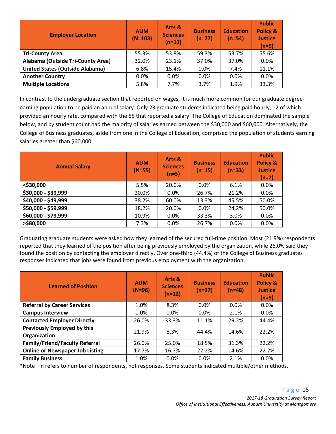| <b>Employer Location</b>               | <b>AUM</b><br>$(N=103)$ | Arts &<br><b>Sciences</b><br>$(n=13)$ | <b>Business</b><br>$(n=27)$ | <b>Education</b><br>$(n=54)$ | <b>Public</b><br><b>Policy &amp;</b><br><b>Justice</b><br>$(n=9)$ |
|----------------------------------------|-------------------------|---------------------------------------|-----------------------------|------------------------------|-------------------------------------------------------------------|
| <b>Tri-County Area</b>                 | 55.3%                   | 53.8%                                 | 59.3%                       | 53.7%                        | 55.6%                                                             |
| Alabama (Outside Tri-County Area)      | 32.0%                   | 23.1%                                 | 37.0%                       | 37.0%                        | 0.0%                                                              |
| <b>United States (Outside Alabama)</b> | 6.8%                    | 15.4%                                 | 0.0%                        | 7.4%                         | 11.1%                                                             |
| <b>Another Country</b>                 | $0.0\%$                 | 0.0%                                  | 0.0%                        | 0.0%                         | 0.0%                                                              |
| <b>Multiple Locations</b>              | 5.8%                    | 7.7%                                  | 3.7%                        | 1.9%                         | 33.3%                                                             |

In contrast to the undergraduate section that reported on wages, it is much more common for our graduate degreeearning population to be paid an annual salary. Only 23 graduate students indicated being paid hourly, 12 of which provided an hourly rate, compared with the 55 that reported a salary. The College of Education dominated the sample below, and by student count had the majority of salaries earned between the \$30,000 and \$60,000. Alternatively, the College of Business graduates, aside from one in the College of Education, comprised the population of students earning salaries greater than \$60,000.

| <b>Annual Salary</b> | <b>AUM</b><br>$(N=55)$ | Arts &<br><b>Sciences</b><br>$(n=5)$ | <b>Business</b><br>$(n=15)$ | <b>Education</b><br>$(n=33)$ | <b>Public</b><br><b>Policy &amp;</b><br><b>Justice</b><br>$(n=2)$ |
|----------------------|------------------------|--------------------------------------|-----------------------------|------------------------------|-------------------------------------------------------------------|
| <\$30,000            | 5.5%                   | 20.0%                                | 0.0%                        | 6.1%                         | 0.0%                                                              |
| \$30,000 - \$39,999  | 20.0%                  | 0.0%                                 | 26.7%                       | 21.2%                        | 0.0%                                                              |
| \$40,000 - \$49,999  | 38.2%                  | 60.0%                                | 13.3%                       | 45.5%                        | 50.0%                                                             |
| \$50,000 - \$59,999  | 18.2%                  | 20.0%                                | 0.0%                        | 24.2%                        | 50.0%                                                             |
| \$60,000 - \$79,999  | 10.9%                  | 0.0%                                 | 33.3%                       | 3.0%                         | 0.0%                                                              |
| $>$ \$80,000         | 7.3%                   | 0.0%                                 | 26.7%                       | 0.0%                         | 0.0%                                                              |

Graduating graduate students were asked how they learned of the secured full-time position. Most (21.9%) respondents reported that they learned of the position after being previously employed by the organization, while 26.0% said they found the position by contacting the employer directly. Over one-third (44.4%) of the College of Business graduates responses indicated that jobs were found from previous employment with the organization.

| <b>Learned of Position</b>                  | <b>AUM</b><br>$(N=96)$ | Arts &<br><b>Sciences</b><br>$(n=12)$ | <b>Business</b><br>$(n=27)$ | <b>Education</b><br>$(n=48)$ | <b>Public</b><br>Policy &<br><b>Justice</b><br>$(n=9)$ |
|---------------------------------------------|------------------------|---------------------------------------|-----------------------------|------------------------------|--------------------------------------------------------|
| <b>Referral by Career Services</b>          | 1.0%                   | 8.3%                                  | 0.0%                        | $0.0\%$                      | 0.0%                                                   |
| <b>Campus Interview</b>                     | 1.0%                   | $0.0\%$                               | $0.0\%$                     | 2.1%                         | 0.0%                                                   |
| <b>Contacted Employer Directly</b>          | 26.0%                  | 33.3%                                 | 11.1%                       | 29.2%                        | 44.4%                                                  |
| Previously Employed by this<br>Organization | 21.9%                  | 8.3%                                  | 44.4%                       | 14.6%                        | 22.2%                                                  |
| <b>Family/Friend/Faculty Referral</b>       | 26.0%                  | 25.0%                                 | 18.5%                       | 31.3%                        | 22.2%                                                  |
| <b>Online or Newspaper Job Listing</b>      | 17.7%                  | 16.7%                                 | 22.2%                       | 14.6%                        | 22.2%                                                  |
| <b>Family Business</b>                      | 1.0%                   | $0.0\%$                               | 0.0%                        | 2.1%                         | 0.0%                                                   |

\*Note – n refers to number of respondents, not responses. Some students indicated multiple/other methods.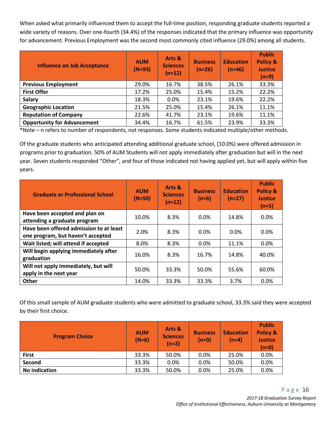When asked what primarily influenced them to accept the full-time position, responding graduate students reported a wide variety of reasons. Over one-fourth (34.4%) of the responses indicated that the primary influence was opportunity for advancement. Previous Employment was the second most commonly cited influence (29.0%) among all students.

| <b>Influence on Job Acceptance</b> | <b>AUM</b><br>$(N=93)$ | Arts &<br><b>Sciences</b><br>$(n=12)$ | <b>Business</b><br>$(n=26)$ | <b>Education</b><br>$(n=46)$ | <b>Public</b><br><b>Policy &amp;</b><br><b>Justice</b><br>$(n=9)$ |
|------------------------------------|------------------------|---------------------------------------|-----------------------------|------------------------------|-------------------------------------------------------------------|
| <b>Previous Employment</b>         | 29.0%                  | 16.7%                                 | 38.5%                       | 26.1%                        | 33.3%                                                             |
| <b>First Offer</b>                 | 17.2%                  | 25.0%                                 | 15.4%                       | 15.2%                        | 22.2%                                                             |
| <b>Salary</b>                      | 18.3%                  | 0.0%                                  | 23.1%                       | 19.6%                        | 22.2%                                                             |
| <b>Geographic Location</b>         | 21.5%                  | 25.0%                                 | 15.4%                       | 26.1%                        | 11.1%                                                             |
| <b>Reputation of Company</b>       | 22.6%                  | 41.7%                                 | 23.1%                       | 19.6%                        | 11.1%                                                             |
| <b>Opportunity for Advancement</b> | 34.4%                  | 16.7%                                 | 61.5%                       | 23.9%                        | 33.3%                                                             |

\*Note – n refers to number of respondents, not responses. Some students indicated multiple/other methods.

Of the graduate students who anticipated attending additional graduate school, (10.0%) were offered admission in programs prior to graduation. 50% of AUM Students will not apply immediately after graduation but will in the next year. Seven students responded "Other", and four of those indicated not having applied yet, but will apply within five years.

| <b>Graduate or Professional School</b>                                       | <b>AUM</b><br>$(N=50)$ | Arts &<br><b>Sciences</b><br>$(n=12)$ | <b>Business</b><br>$(n=6)$ | <b>Education</b><br>$(n=27)$ | <b>Public</b><br><b>Policy &amp;</b><br><b>Justice</b><br>$(n=5)$ |
|------------------------------------------------------------------------------|------------------------|---------------------------------------|----------------------------|------------------------------|-------------------------------------------------------------------|
| Have been accepted and plan on<br>attending a graduate program               | 10.0%                  | 8.3%                                  | 0.0%                       | 14.8%                        | $0.0\%$                                                           |
| Have been offered admission to at least<br>one program, but haven't accepted | 2.0%                   | 8.3%                                  | $0.0\%$                    | $0.0\%$                      | 0.0%                                                              |
| Wait listed; will attend if accepted                                         | 8.0%                   | 8.3%                                  | 0.0%                       | 11.1%                        | 0.0%                                                              |
| Will begin applying immediately after<br>graduation                          | 16.0%                  | 8.3%                                  | 16.7%                      | 14.8%                        | 40.0%                                                             |
| Will not apply immediately, but will<br>apply in the next year               | 50.0%                  | 33.3%                                 | 50.0%                      | 55.6%                        | 60.0%                                                             |
| <b>Other</b>                                                                 | 14.0%                  | 33.3%                                 | 33.3%                      | 3.7%                         | 0.0%                                                              |

Of this small sample of AUM graduate students who were admitted to graduate school, 33.3% said they were accepted by their first choice.

| <b>Program Choice</b> | <b>AUM</b><br>$(N=6)$ | Arts &<br><b>Sciences</b><br>$(n=2)$ | <b>Business</b><br>$(n=0)$ | <b>Education</b><br>$(n=4)$ | <b>Public</b><br>Policy &<br><b>Justice</b><br>(n=0) |
|-----------------------|-----------------------|--------------------------------------|----------------------------|-----------------------------|------------------------------------------------------|
| <b>First</b>          | 33.3%                 | 50.0%                                | 0.0%                       | 25.0%                       | 0.0%                                                 |
| Second                | 33.3%                 | 0.0%                                 | 0.0%                       | 50.0%                       | 0.0%                                                 |
| <b>No indication</b>  | 33.3%                 | 50.0%                                | 0.0%                       | 25.0%                       | 0.0%                                                 |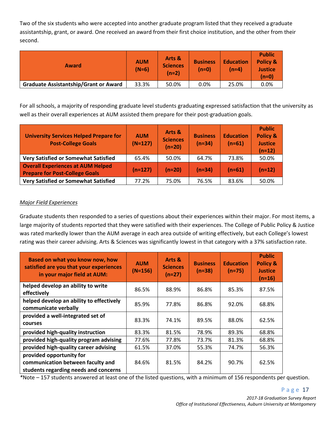Two of the six students who were accepted into another graduate program listed that they received a graduate assistantship, grant, or award. One received an award from their first choice institution, and the other from their second.

| <b>Award</b>                                 | <b>AUM</b><br>$(N=6)$ | Arts &<br><b>Sciences</b><br>$(n=2)$ | <b>Business</b><br>$(n=0)$ | <b>Education</b><br>(n=4) | <b>Public</b><br><b>Policy &amp;</b><br><b>Justice</b><br>(n=0) |
|----------------------------------------------|-----------------------|--------------------------------------|----------------------------|---------------------------|-----------------------------------------------------------------|
| <b>Graduate Assistantship/Grant or Award</b> | 33.3%                 | 50.0%                                | 0.0%                       | 25.0%                     | 0.0%                                                            |

For all schools, a majority of responding graduate level students graduating expressed satisfaction that the university as well as their overall experiences at AUM assisted them prepare for their post-graduation goals.

| <b>University Services Helped Prepare for</b><br><b>Post-College Goals</b>        | <b>AUM</b><br>$(N=127)$ | Arts &<br><b>Sciences</b><br>$(n=20)$ | <b>Business</b><br>$(n=34)$ | <b>Education</b><br>$(n=61)$ | <b>Public</b><br><b>Policy &amp;</b><br><b>Justice</b><br>$(n=12)$ |
|-----------------------------------------------------------------------------------|-------------------------|---------------------------------------|-----------------------------|------------------------------|--------------------------------------------------------------------|
| <b>Very Satisfied or Somewhat Satisfied</b>                                       | 65.4%                   | 50.0%                                 | 64.7%                       | 73.8%                        | 50.0%                                                              |
| <b>Overall Experiences at AUM Helped</b><br><b>Prepare for Post-College Goals</b> | $(n=127)$               | $(n=20)$                              | $(n=34)$                    | $(n=61)$                     | $(n=12)$                                                           |
| <b>Very Satisfied or Somewhat Satisfied</b>                                       | 77.2%                   | 75.0%                                 | 76.5%                       | 83.6%                        | 50.0%                                                              |

#### *Major Field Experiences*

Graduate students then responded to a series of questions about their experiences within their major. For most items, a large majority of students reported that they were satisfied with their experiences. The College of Public Policy & Justice was rated markedly lower than the AUM average in each area outside of writing effectively, but each College's lowest rating was their career advising. Arts & Sciences was significantly lowest in that category with a 37% satisfaction rate.

| Based on what you know now, how<br>satisfied are you that your experiences<br>in your major field at AUM: | <b>AUM</b><br>$(N=156)$ | Arts &<br><b>Sciences</b><br>$(n=27)$ | <b>Business</b><br>$(n=38)$ | <b>Education</b><br>$(n=75)$ | <b>Public</b><br><b>Policy &amp;</b><br><b>Justice</b><br>$(n=16)$ |
|-----------------------------------------------------------------------------------------------------------|-------------------------|---------------------------------------|-----------------------------|------------------------------|--------------------------------------------------------------------|
| helped develop an ability to write<br>effectively                                                         | 86.5%                   | 88.9%                                 | 86.8%                       | 85.3%                        | 87.5%                                                              |
| helped develop an ability to effectively<br>communicate verbally                                          | 85.9%                   | 77.8%                                 | 86.8%                       | 92.0%                        | 68.8%                                                              |
| provided a well-integrated set of<br><b>courses</b>                                                       | 83.3%                   | 74.1%                                 | 89.5%                       | 88.0%                        | 62.5%                                                              |
| provided high-quality instruction                                                                         | 83.3%                   | 81.5%                                 | 78.9%                       | 89.3%                        | 68.8%                                                              |
| provided high-quality program advising                                                                    | 77.6%                   | 77.8%                                 | 73.7%                       | 81.3%                        | 68.8%                                                              |
| provided high-quality career advising                                                                     | 61.5%                   | 37.0%                                 | 55.3%                       | 74.7%                        | 56.3%                                                              |
| provided opportunity for<br>communication between faculty and<br>students regarding needs and concerns    | 84.6%                   | 81.5%                                 | 84.2%                       | 90.7%                        | 62.5%                                                              |

*\**Note – 157 students answered at least one of the listed questions, with a minimum of 156 respondents per question.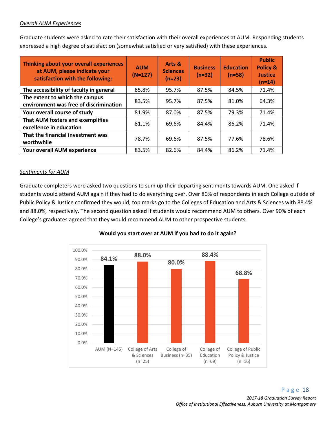#### *Overall AUM Experiences*

Graduate students were asked to rate their satisfaction with their overall experiences at AUM. Responding students expressed a high degree of satisfaction (somewhat satisfied or very satisfied) with these experiences.

| Thinking about your overall experiences<br>at AUM, please indicate your<br>satisfaction with the following: | <b>AUM</b><br>$(N=127)$ | Arts &<br><b>Sciences</b><br>$(n=23)$ | <b>Business</b><br>$(n=32)$ | <b>Education</b><br>$(n=58)$ | <b>Public</b><br><b>Policy &amp;</b><br><b>Justice</b><br>$(n=14)$ |
|-------------------------------------------------------------------------------------------------------------|-------------------------|---------------------------------------|-----------------------------|------------------------------|--------------------------------------------------------------------|
| The accessibility of faculty in general                                                                     | 85.8%                   | 95.7%                                 | 87.5%                       | 84.5%                        | 71.4%                                                              |
| The extent to which the campus<br>environment was free of discrimination                                    | 83.5%                   | 95.7%                                 | 87.5%                       | 81.0%                        | 64.3%                                                              |
| Your overall course of study                                                                                | 81.9%                   | 87.0%                                 | 87.5%                       | 79.3%                        | 71.4%                                                              |
| That AUM fosters and exemplifies<br>excellence in education                                                 | 81.1%                   | 69.6%                                 | 84.4%                       | 86.2%                        | 71.4%                                                              |
| That the financial investment was<br>worthwhile                                                             | 78.7%                   | 69.6%                                 | 87.5%                       | 77.6%                        | 78.6%                                                              |
| Your overall AUM experience                                                                                 | 83.5%                   | 82.6%                                 | 84.4%                       | 86.2%                        | 71.4%                                                              |

#### *Sentiments for AUM*

Graduate completers were asked two questions to sum up their departing sentiments towards AUM. One asked if students would attend AUM again if they had to do everything over. Over 80% of respondents in each College outside of Public Policy & Justice confirmed they would; top marks go to the Colleges of Education and Arts & Sciences with 88.4% and 88.0%, respectively. The second question asked if students would recommend AUM to others. Over 90% of each College's graduates agreed that they would recommend AUM to other prospective students.



#### **Would you start over at AUM if you had to do it again?**